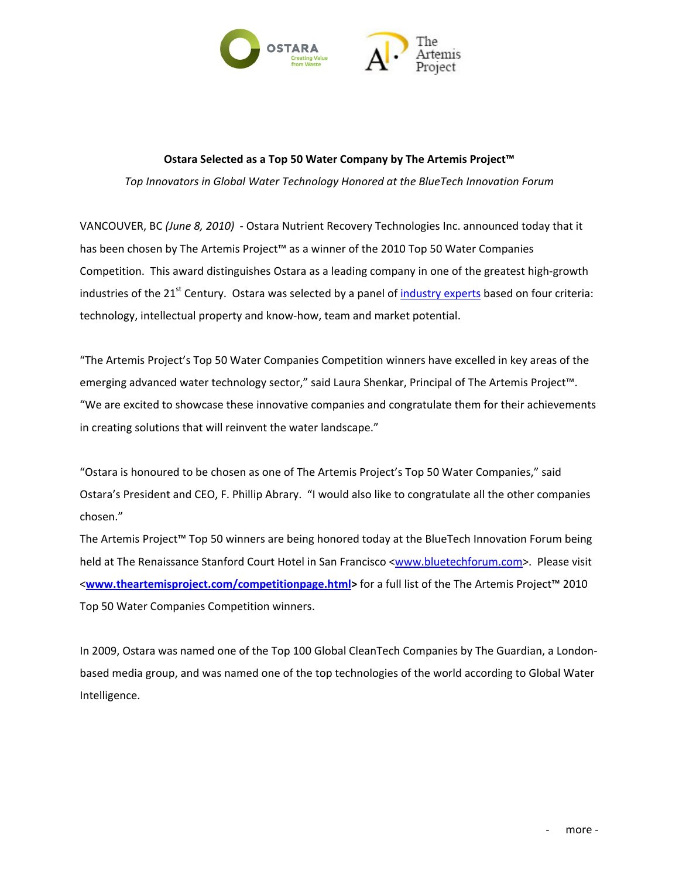

## **Ostara Selected as a Top 50 Water Company by The Artemis Project™**

*Top Innovators in Global Water Technology Honored at the BlueTech Innovation Forum*

VANCOUVER, BC *(June 8, 2010)* ‐ Ostara Nutrient Recovery Technologies Inc. announced today that it has been chosen by The Artemis Project™ as a winner of the 2010 Top 50 Water Companies Competition. This award distinguishes Ostara as a leading company in one of the greatest high‐growth industries of the 21<sup>st</sup> Century. Ostara was selected by a panel of *[industry](http://www.theartemisproject.com/competitionpage.html) experts* based on four criteria: technology, intellectual property and know‐how, team and market potential.

"The Artemis Project's Top 50 Water Companies Competition winners have excelled in key areas of the emerging advanced water technology sector," said Laura Shenkar, Principal of The Artemis Project™. "We are excited to showcase these innovative companies and congratulate them for their achievements in creating solutions that will reinvent the water landscape."

"Ostara is honoured to be chosen as one of The Artemis Project's Top 50 Water Companies," said Ostara's President and CEO, F. Phillip Abrary. "I would also like to congratulate all the other companies chosen."

The Artemis Project™ Top 50 winners are being honored today at the BlueTech Innovation Forum being held at The Renaissance Stanford Court Hotel in San Francisco [<www.bluetechforum.com](http://www.bluetechforum.com/)>. Please visit <**[www.theartemisproject.com/competitionpage.html>](http://www.theartemisproject.com/competitionpage.html)** for a full list of the The Artemis Project™ 2010 Top 50 Water Companies Competition winners.

In 2009, Ostara was named one of the Top 100 Global CleanTech Companies by The Guardian, a London‐ based media group, and was named one of the top technologies of the world according to Global Water Intelligence.